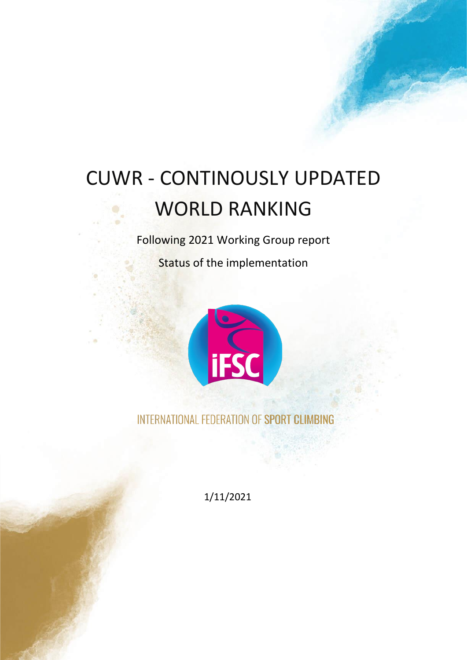# CUWR - CONTINOUSLY UPDATED WORLD RANKING

Following 2021 Working Group report

Status of the implementation



INTERNATIONAL FEDERATION OF SPORT CLIMBING

1/11/2021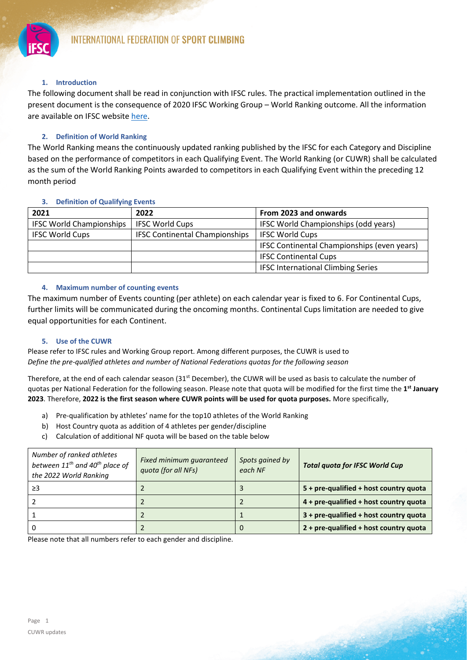

# **1. Introduction**

The following document shall be read in conjunction with IFSC rules. The practical implementation outlined in the present document is the consequence of 2020 IFSC Working Group – World Ranking outcome. All the information are available on IFSC website [here.](https://cdn.ifsc-climbing.org/images/World_Competitions/210401_WorldRanking_WorkingGroup.pdf)

# **2. Definition of World Ranking**

The World Ranking means the continuously updated ranking published by the IFSC for each Category and Discipline based on the performance of competitors in each Qualifying Event. The World Ranking (or CUWR) shall be calculated as the sum of the World Ranking Points awarded to competitors in each Qualifying Event within the preceding 12 month period

## **3. Definition of Qualifying Events**

| 2021                            | 2022                                  | From 2023 and onwards                       |
|---------------------------------|---------------------------------------|---------------------------------------------|
| <b>IFSC World Championships</b> | <b>IFSC World Cups</b>                | IFSC World Championships (odd years)        |
| <b>IFSC World Cups</b>          | <b>IFSC Continental Championships</b> | <b>IFSC World Cups</b>                      |
|                                 |                                       | IFSC Continental Championships (even years) |
|                                 |                                       | <b>IFSC Continental Cups</b>                |
|                                 |                                       | <b>IFSC International Climbing Series</b>   |

## **4. Maximum number of counting events**

The maximum number of Events counting (per athlete) on each calendar year is fixed to 6. For Continental Cups, further limits will be communicated during the oncoming months. Continental Cups limitation are needed to give equal opportunities for each Continent.

## **5. Use of the CUWR**

Please refer to IFSC rules and Working Group report. Among different purposes, the CUWR is used to *Define the pre-qualified athletes and number of National Federations quotas for the following season*

Therefore, at the end of each calendar season  $(31<sup>st</sup>$  December), the CUWR will be used as basis to calculate the number of quotas per National Federation for the following season. Please note that quota will be modified for the first time the **1 st January 2023**. Therefore, **2022 is the first season where CUWR points will be used for quota purposes.** More specifically,

- a) Pre-qualification by athletes' name for the top10 athletes of the World Ranking
- b) Host Country quota as addition of 4 athletes per gender/discipline
- c) Calculation of additional NF quota will be based on the table below

| Number of ranked athletes<br>between $11^{th}$ and $40^{th}$ place of<br>the 2022 World Ranking | Fixed minimum guaranteed<br>quota (for all NFs) | Spots gained by<br>each NF | <b>Total quota for IFSC World Cup</b>     |
|-------------------------------------------------------------------------------------------------|-------------------------------------------------|----------------------------|-------------------------------------------|
| ≥3                                                                                              |                                                 |                            | $5 + pre$ -qualified + host country quota |
|                                                                                                 |                                                 |                            | $4 + pre-qualified + host country$ quota  |
|                                                                                                 |                                                 |                            | $3 + pre$ -qualified + host country quota |
|                                                                                                 |                                                 | $\Omega$                   | 2 + pre-qualified + host country quota    |

Please note that all numbers refer to each gender and discipline.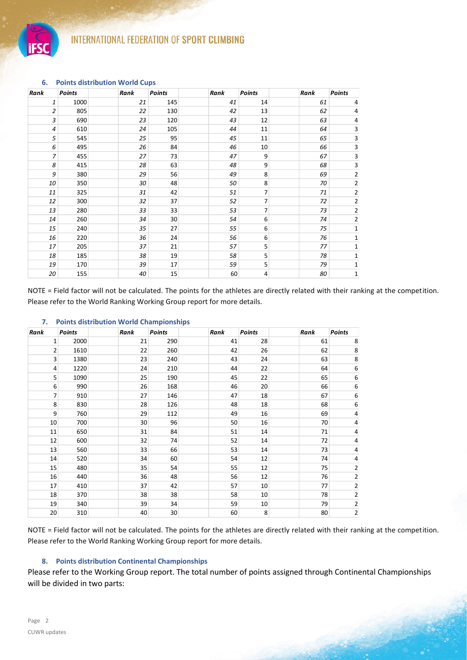

| Rank           | <b>Points</b> | Rank | <b>Points</b>   | Rank | <b>Points</b>  | Rank | <b>Points</b>           |
|----------------|---------------|------|-----------------|------|----------------|------|-------------------------|
| 1              | 1000          | 21   | 145             | 41   | 14             | 61   | 4                       |
| 2              | 805           | 22   | 130             | 42   | 13             | 62   | 4                       |
| 3              | 690           | 23   | 120             | 43   | 12             | 63   | 4                       |
| $\overline{4}$ | 610           | 24   | 105             | 44   | 11             | 64   | 3                       |
| 5              | 545           | 25   | 95              | 45   | 11             | 65   | 3                       |
| 6              | 495           | 26   | 84              | 46   | 10             | 66   | 3                       |
| $\overline{7}$ | 455           | 27   | 73              | 47   | 9              | 67   | 3                       |
| 8              | 415           | 28   | 63              | 48   | 9              | 68   | 3                       |
| 9              | 380           | 29   | 56              | 49   | 8              | 69   | $\overline{\mathbf{c}}$ |
| 10             | 350           | 30   | 48              | 50   | 8              | 70   | 2                       |
| 11             | 325           | 31   | 42              | 51   | 7              | 71   | $\overline{\mathbf{c}}$ |
| 12             | 300           | 32   | 37              | 52   | 7              | 72   | 2                       |
| 13             | 280           | 33   | 33              | 53   | $\overline{7}$ | 73   | 2                       |
| 14             | 260           | 34   | 30 <sup>°</sup> | 54   | 6              | 74   | $\overline{2}$          |
| 15             | 240           | 35   | 27              | 55   | 6              | 75   | $\mathbf 1$             |
| 16             | 220           | 36   | 24              | 56   | 6              | 76   | $\mathbf 1$             |
| 17             | 205           | 37   | 21              | 57   | 5              | 77   | 1                       |
| 18             | 185           | 38   | 19              | 58   | 5              | 78   | $\mathbf 1$             |
| 19             | 170           | 39   | 17              | 59   | 5              | 79   | 1                       |
| 20             | 155           | 40   | 15              | 60   | 4              | 80   | $\mathbf 1$             |

#### **6. Points distribution World Cups**

NOTE = Field factor will not be calculated. The points for the athletes are directly related with their ranking at the competition. Please refer to the World Ranking Working Group report for more details.

### **7. Points distribution World Championships**

| Rank           | <b>Points</b> | Rank | <b>Points</b>   | Rank | <b>Points</b> | Rank | <b>Points</b>           |
|----------------|---------------|------|-----------------|------|---------------|------|-------------------------|
| 1              | 2000          | 21   | 290             | 41   | 28            | 61   | 8                       |
| 2              | 1610          | 22   | 260             | 42   | 26            | 62   | 8                       |
| 3              | 1380          | 23   | 240             | 43   | 24            | 63   | 8                       |
| 4              | 1220          | 24   | 210             | 44   | 22            | 64   | 6                       |
| 5              | 1090          | 25   | 190             | 45   | 22            | 65   | 6                       |
| 6              | 990           | 26   | 168             | 46   | 20            | 66   | 6                       |
| $\overline{7}$ | 910           | 27   | 146             | 47   | 18            | 67   | 6                       |
| 8              | 830           | 28   | 126             | 48   | 18            | 68   | 6                       |
| 9              | 760           | 29   | 112             | 49   | 16            | 69   | 4                       |
| 10             | 700           | 30   | 96              | 50   | 16            | 70   | 4                       |
| 11             | 650           | 31   | 84              | 51   | 14            | 71   | 4                       |
| 12             | 600           | 32   | 74              | 52   | 14            | 72   | 4                       |
| 13             | 560           | 33   | 66              | 53   | 14            | 73   | 4                       |
| 14             | 520           | 34   | 60              | 54   | 12            | 74   | 4                       |
| 15             | 480           | 35   | 54              | 55   | 12            | 75   | $\overline{\mathbf{c}}$ |
| 16             | 440           | 36   | 48              | 56   | 12            | 76   | $\overline{\mathbf{c}}$ |
| 17             | 410           | 37   | 42              | 57   | 10            | 77   | $\overline{\mathbf{c}}$ |
| 18             | 370           | 38   | 38              | 58   | 10            | 78   | $\overline{\mathbf{c}}$ |
| 19             | 340           | 39   | 34              | 59   | 10            | 79   | $\overline{\mathbf{c}}$ |
| 20             | 310           | 40   | 30 <sup>°</sup> | 60   | 8             | 80   | $\mathbf 2$             |

NOTE = Field factor will not be calculated. The points for the athletes are directly related with their ranking at the competition. Please refer to the World Ranking Working Group report for more details.

# **8. Points distribution Continental Championships**

Please refer to the Working Group report. The total number of points assigned through Continental Championships will be divided in two parts: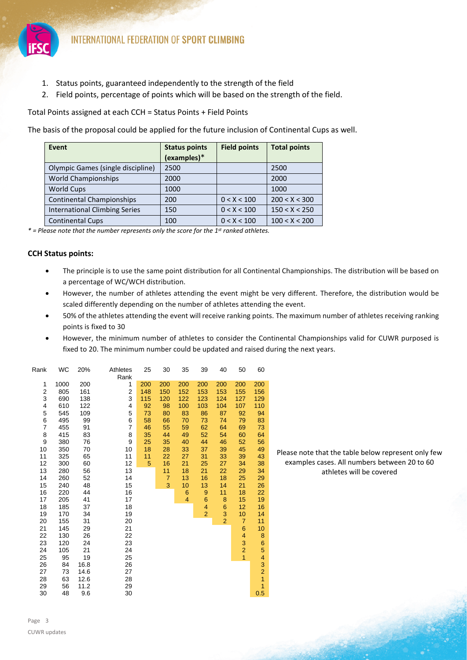

- 1. Status points, guaranteed independently to the strength of the field
- 2. Field points, percentage of points which will be based on the strength of the field.

Total Points assigned at each CCH = Status Points + Field Points

The basis of the proposal could be applied for the future inclusion of Continental Cups as well.

| Event                                | <b>Status points</b> | <b>Field points</b> | <b>Total points</b> |
|--------------------------------------|----------------------|---------------------|---------------------|
|                                      | (examples)*          |                     |                     |
| Olympic Games (single discipline)    | 2500                 |                     | 2500                |
| <b>World Championships</b>           | 2000                 |                     | 2000                |
| <b>World Cups</b>                    | 1000                 |                     | 1000                |
| <b>Continental Championships</b>     | 200                  | 0 < X < 100         | 200 < X < 300       |
| <b>International Climbing Series</b> | 150                  | 0 < X < 100         | 150 < X < 250       |
| <b>Continental Cups</b>              | 100                  | 0 < X < 100         | 100 < X < 200       |

*\* = Please note that the number represents only the score for the 1st ranked athletes.* 

# **CCH Status points:**

- The principle is to use the same point distribution for all Continental Championships. The distribution will be based on a percentage of WC/WCH distribution.
- However, the number of athletes attending the event might be very different. Therefore, the distribution would be scaled differently depending on the number of athletes attending the event.
- 50% of the athletes attending the event will receive ranking points. The maximum number of athletes receiving ranking points is fixed to 30
- However, the minimum number of athletes to consider the Continental Championships valid for CUWR purposed is fixed to 20. The minimum number could be updated and raised during the next years.

| Rank           | WC   | 20%  | Athletes       | 25  | 30  | 35  | 39             | 40             | 50             | 60               |
|----------------|------|------|----------------|-----|-----|-----|----------------|----------------|----------------|------------------|
|                |      |      | Rank           |     |     |     |                |                |                |                  |
| 1              | 1000 | 200  | 1              | 200 | 200 | 200 | 200            | 200            | 200            | 200              |
| 2              | 805  | 161  | 2              | 148 | 150 | 152 | 153            | 153            | 155            | 156              |
| 3              | 690  | 138  | 3              | 115 | 120 | 122 | 123            | 124            | 127            | 129              |
| 4              | 610  | 122  | 4              | 92  | 98  | 100 | 103            | 104            | 107            | 110              |
| 5              | 545  | 109  | 5              | 73  | 80  | 83  | 86             | 87             | 92             | 94               |
| 6              | 495  | 99   | 6              | 58  | 66  | 70  | 73             | 74             | 79             | 83               |
| $\overline{7}$ | 455  | 91   | $\overline{7}$ | 46  | 55  | 59  | 62             | 64             | 69             | 73               |
| 8              | 415  | 83   | 8              | 35  | 44  | 49  | 52             | 54             | 60             | 64               |
| 9              | 380  | 76   | 9              | 25  | 35  | 40  | 44             | 46             | 52             | 56               |
| 10             | 350  | 70   | 10             | 18  | 28  | 33  | 37             | 39             | 45             | 49               |
| 11             | 325  | 65   | 11             | 11  | 22  | 27  | 31             | 33             | 39             | 43               |
| 12             | 300  | 60   | 12             | 5   | 16  | 21  | 25             | 27             | 34             | 38               |
| 13             | 280  | 56   | 13             |     | 11  | 18  | 21             | 22             | 29             | 34               |
| 14             | 260  | 52   | 14             |     | 7   | 13  | 16             | 18             | 25             | 29               |
| 15             | 240  | 48   | 15             |     | 3   | 10  | 13             | 14             | 21             | 26               |
| 16             | 220  | 44   | 16             |     |     | 6   | 9              | 11             | 18             | 22               |
| 17             | 205  | 41   | 17             |     |     | 4   | 6              | 8              | 15             | 19               |
| 18             | 185  | 37   | 18             |     |     |     | 4              | 6              | 12             | 16               |
| 19             | 170  | 34   | 19             |     |     |     | $\overline{2}$ | 3              | 10             | 14               |
| 20             | 155  | 31   | 20             |     |     |     |                | $\overline{2}$ | $\overline{7}$ | 11               |
| 21             | 145  | 29   | 21             |     |     |     |                |                | 6              | 10               |
| 22             | 130  | 26   | 22             |     |     |     |                |                | $\overline{4}$ | 8                |
| 23             | 120  | 24   | 23             |     |     |     |                |                | 3              | $\boldsymbol{6}$ |
| 24             | 105  | 21   | 24             |     |     |     |                |                | $\overline{a}$ | 5                |
| 25             | 95   | 19   | 25             |     |     |     |                |                | $\overline{1}$ | 4                |
| 26             | 84   | 16.8 | 26             |     |     |     |                |                |                | 3                |
| 27             | 73   | 14.6 | 27             |     |     |     |                |                |                | $\overline{a}$   |
| 28             | 63   | 12.6 | 28             |     |     |     |                |                |                | $\overline{1}$   |
| 29             | 56   | 11.2 | 29             |     |     |     |                |                |                | $\overline{1}$   |
| 30             | 48   | 9.6  | 30             |     |     |     |                |                |                | 0.5              |

Please note that the table below represent only few examples cases. All numbers between 20 to 60 athletes will be covered